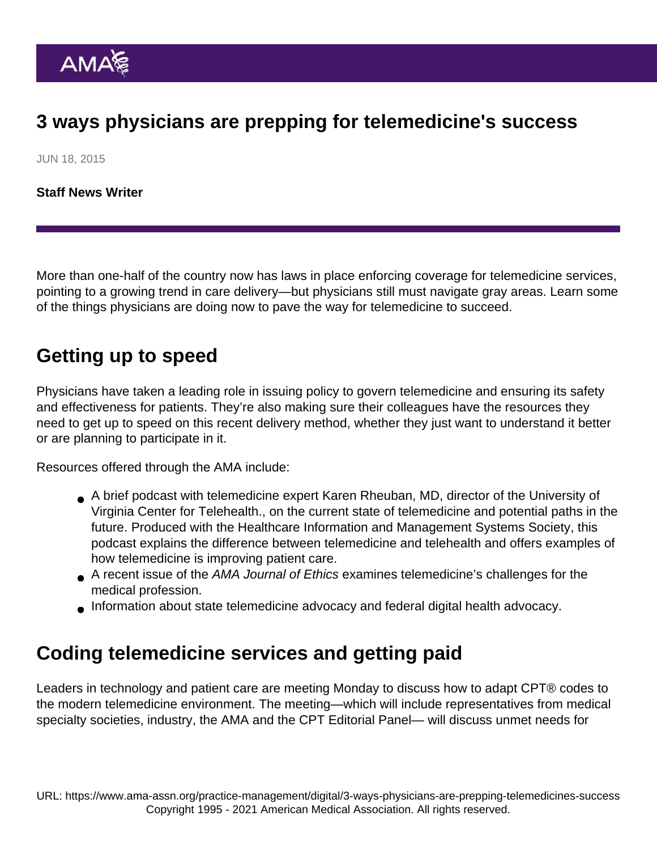## 3 ways physicians are prepping for telemedicine's success

JUN 18, 2015

[Staff News Writer](https://www.ama-assn.org/news-leadership-viewpoints/authors-news-leadership-viewpoints/staff-news-writer)

More than one-half of the country now has laws in place enforcing coverage for telemedicine services, pointing to a growing trend in care delivery—but physicians still must navigate gray areas. Learn some of the things physicians are doing now to pave the way for telemedicine to succeed.

## Getting up to speed

Physicians have taken a leading role in [issuing policy to govern telemedicine](https://www.ama-assn.org/physicians-take-telemedicine-bolster-care-delivery) and ensuring its safety and effectiveness for patients. They're also making sure their colleagues have the resources they need to get up to speed on this recent delivery method, whether they just want to understand it better or are planning to participate in it.

Resources offered through the AMA include:

- A [brief podcast](http://www.himss.org/library/podcasts/innovation-that-sticks) with telemedicine expert Karen Rheuban, MD, director of the University of Virginia Center for Telehealth., on the current state of telemedicine and potential paths in the future. Produced with the Healthcare Information and Management Systems Society, this podcast [explains the difference between telemedicine and telehealth](https://www.ama-assn.org/how-definitions-digital-health-differ) and offers examples of how telemedicine is improving patient care.
- A [recent issue](http://journalofethics.ama-assn.org/2014/12/toc-1412.html) of the AMA Journal of Ethics examines telemedicine's challenges for the medical profession.
- Information about [state telemedicine advocacy](https://www.ama-assn.org/practice-management/digital/ama-quick-guide-telemedicine-practice) and [federal digital health advocacy.](https://www.ama-assn.org/practice-management/digital/liability-risk-digital-health-innovation)

## Coding telemedicine services and getting paid

Leaders in technology and patient care are meeting Monday to discuss how to adapt CPT® codes to the modern telemedicine environment. The meeting—which will include representatives from medical specialty societies, industry, the AMA and the CPT Editorial Panel— will discuss unmet needs for